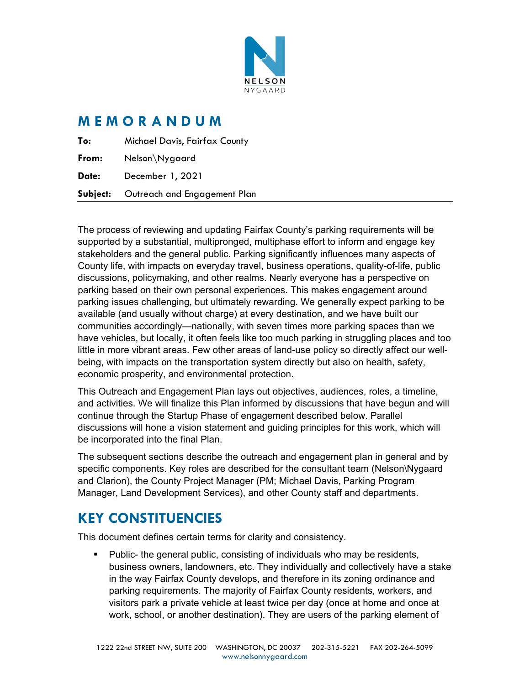

### **M E M O R A N D U M**

|       | <b>Subject:</b> Outreach and Engagement Plan |
|-------|----------------------------------------------|
| Date: | December 1, 2021                             |
| From: | Nelson\Nygaard                               |
| To:   | <b>Michael Davis, Fairfax County</b>         |

The process of reviewing and updating Fairfax County's parking requirements will be supported by a substantial, multipronged, multiphase effort to inform and engage key stakeholders and the general public. Parking significantly influences many aspects of County life, with impacts on everyday travel, business operations, quality-of-life, public discussions, policymaking, and other realms. Nearly everyone has a perspective on parking based on their own personal experiences. This makes engagement around parking issues challenging, but ultimately rewarding. We generally expect parking to be available (and usually without charge) at every destination, and we have built our communities accordingly—nationally, with seven times more parking spaces than we have vehicles, but locally, it often feels like too much parking in struggling places and too little in more vibrant areas. Few other areas of land-use policy so directly affect our wellbeing, with impacts on the transportation system directly but also on health, safety, economic prosperity, and environmental protection.

This Outreach and Engagement Plan lays out objectives, audiences, roles, a timeline, and activities. We will finalize this Plan informed by discussions that have begun and will continue through the Startup Phase of engagement described below. Parallel discussions will hone a vision statement and guiding principles for this work, which will be incorporated into the final Plan.

The subsequent sections describe the outreach and engagement plan in general and by specific components. Key roles are described for the consultant team (Nelson\Nygaard and Clarion), the County Project Manager (PM; Michael Davis, Parking Program Manager, Land Development Services), and other County staff and departments.

## **KEY CONSTITUENCIES**

This document defines certain terms for clarity and consistency.

 Public- the general public, consisting of individuals who may be residents, business owners, landowners, etc. They individually and collectively have a stake in the way Fairfax County develops, and therefore in its zoning ordinance and parking requirements. The majority of Fairfax County residents, workers, and visitors park a private vehicle at least twice per day (once at home and once at work, school, or another destination). They are users of the parking element of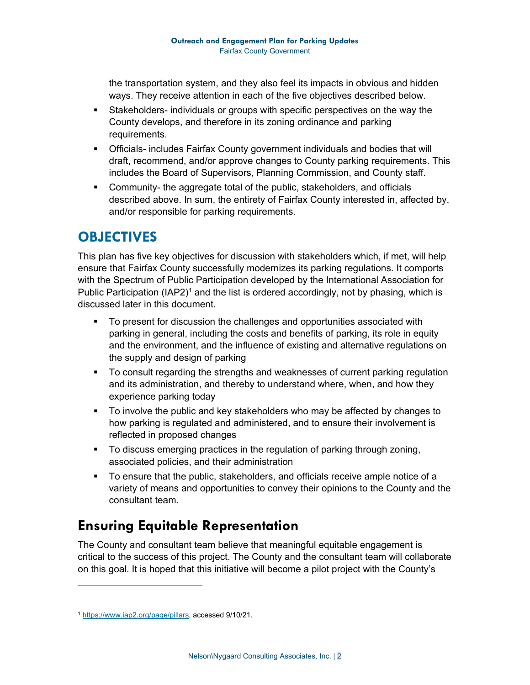the transportation system, and they also feel its impacts in obvious and hidden ways. They receive attention in each of the five objectives described below.

- Stakeholders- individuals or groups with specific perspectives on the way the County develops, and therefore in its zoning ordinance and parking requirements.
- Officials- includes Fairfax County government individuals and bodies that will draft, recommend, and/or approve changes to County parking requirements. This includes the Board of Supervisors, Planning Commission, and County staff.
- Community- the aggregate total of the public, stakeholders, and officials described above. In sum, the entirety of Fairfax County interested in, affected by, and/or responsible for parking requirements.

### **OBJECTIVES**

This plan has five key objectives for discussion with stakeholders which, if met, will help ensure that Fairfax County successfully modernizes its parking regulations. It comports with the Spectrum of Public Participation developed by the International Association for Public Participation  $(IAP2)^1$  and the list is ordered accordingly, not by phasing, which is discussed later in this document.

- To present for discussion the challenges and opportunities associated with parking in general, including the costs and benefits of parking, its role in equity and the environment, and the influence of existing and alternative regulations on the supply and design of parking
- To consult regarding the strengths and weaknesses of current parking regulation and its administration, and thereby to understand where, when, and how they experience parking today
- To involve the public and key stakeholders who may be affected by changes to how parking is regulated and administered, and to ensure their involvement is reflected in proposed changes
- To discuss emerging practices in the regulation of parking through zoning, associated policies, and their administration
- To ensure that the public, stakeholders, and officials receive ample notice of a variety of means and opportunities to convey their opinions to the County and the consultant team.

## **Ensuring Equitable Representation**

The County and consultant team believe that meaningful equitable engagement is critical to the success of this project. The County and the consultant team will collaborate on this goal. It is hoped that this initiative will become a pilot project with the County's

<sup>1</sup> https://www.iap2.org/page/pillars, accessed 9/10/21.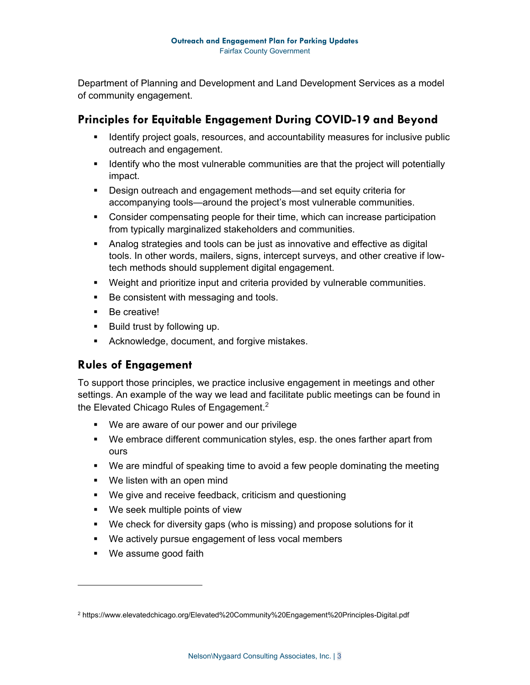Department of Planning and Development and Land Development Services as a model of community engagement.

#### **Principles for Equitable Engagement During COVID-19 and Beyond**

- **If Identify project goals, resources, and accountability measures for inclusive public** outreach and engagement.
- **If all identify who the most vulnerable communities are that the project will potentially** impact.
- Design outreach and engagement methods—and set equity criteria for accompanying tools—around the project's most vulnerable communities.
- Consider compensating people for their time, which can increase participation from typically marginalized stakeholders and communities.
- Analog strategies and tools can be just as innovative and effective as digital tools. In other words, mailers, signs, intercept surveys, and other creative if lowtech methods should supplement digital engagement.
- Weight and prioritize input and criteria provided by vulnerable communities.
- Be consistent with messaging and tools.
- Be creative!
- **Build trust by following up.**
- **Acknowledge, document, and forgive mistakes.**

#### **Rules of Engagement**

To support those principles, we practice inclusive engagement in meetings and other settings. An example of the way we lead and facilitate public meetings can be found in the Elevated Chicago Rules of Engagement.<sup>2</sup>

- We are aware of our power and our privilege
- We embrace different communication styles, esp. the ones farther apart from ours
- We are mindful of speaking time to avoid a few people dominating the meeting
- **We listen with an open mind**
- We give and receive feedback, criticism and questioning
- **We seek multiple points of view**
- We check for diversity gaps (who is missing) and propose solutions for it
- We actively pursue engagement of less vocal members
- We assume good faith

<sup>2</sup> https://www.elevatedchicago.org/Elevated%20Community%20Engagement%20Principles-Digital.pdf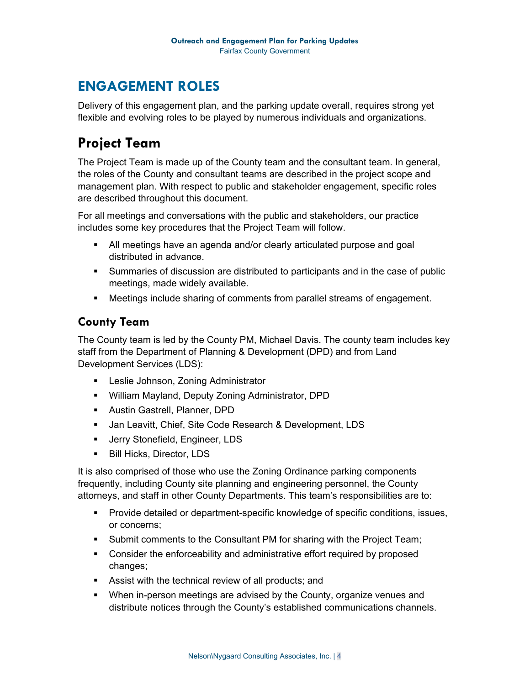## **ENGAGEMENT ROLES**

Delivery of this engagement plan, and the parking update overall, requires strong yet flexible and evolving roles to be played by numerous individuals and organizations.

# **Project Team**

The Project Team is made up of the County team and the consultant team. In general, the roles of the County and consultant teams are described in the project scope and management plan. With respect to public and stakeholder engagement, specific roles are described throughout this document.

For all meetings and conversations with the public and stakeholders, our practice includes some key procedures that the Project Team will follow.

- All meetings have an agenda and/or clearly articulated purpose and goal distributed in advance.
- Summaries of discussion are distributed to participants and in the case of public meetings, made widely available.
- Meetings include sharing of comments from parallel streams of engagement.

#### **County Team**

The County team is led by the County PM, Michael Davis. The county team includes key staff from the Department of Planning & Development (DPD) and from Land Development Services (LDS):

- **EXECTE:** Leslie Johnson, Zoning Administrator
- William Mayland, Deputy Zoning Administrator, DPD
- **Austin Gastrell, Planner, DPD**
- Jan Leavitt, Chief, Site Code Research & Development, LDS
- **Jerry Stonefield, Engineer, LDS**
- **Bill Hicks, Director, LDS**

It is also comprised of those who use the Zoning Ordinance parking components frequently, including County site planning and engineering personnel, the County attorneys, and staff in other County Departments. This team's responsibilities are to:

- or concerns; Provide detailed or department-specific knowledge of specific conditions, issues,
- Submit comments to the Consultant PM for sharing with the Project Team;
- Consider the enforceability and administrative effort required by proposed changes;
- Assist with the technical review of all products; and
- **When in-person meetings are advised by the County, organize venues and** distribute notices through the County's established communications channels.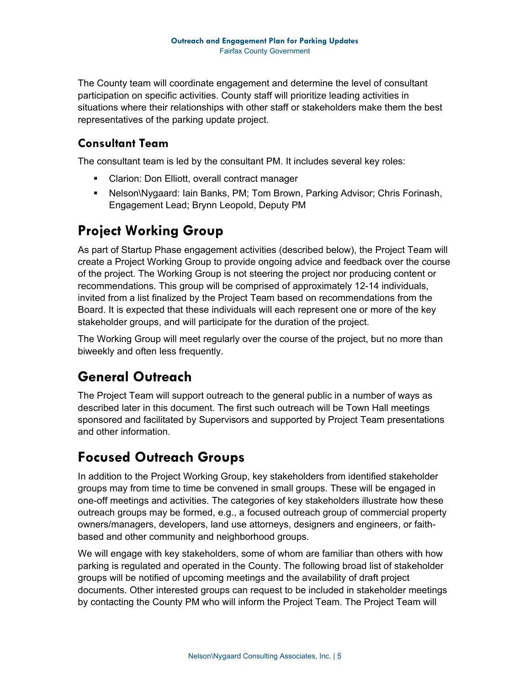The County team will coordinate engagement and determine the level of consultant participation on specific activities. County staff will prioritize leading activities in situations where their relationships with other staff or stakeholders make them the best representatives of the parking update project.

#### **Consultant Team**

The consultant team is led by the consultant PM. It includes several key roles:

- Clarion: Don Elliott, overall contract manager
- Nelson\Nygaard: Iain Banks, PM; Tom Brown, Parking Advisor; Chris Forinash, Engagement Lead; Brynn Leopold, Deputy PM

## **Project Working Group**

As part of Startup Phase engagement activities (described below), the Project Team will create a Project Working Group to provide ongoing advice and feedback over the course of the project. The Working Group is not steering the project nor producing content or recommendations. This group will be comprised of approximately 12-14 individuals, invited from a list finalized by the Project Team based on recommendations from the Board. It is expected that these individuals will each represent one or more of the key stakeholder groups, and will participate for the duration of the project.

The Working Group will meet regularly over the course of the project, but no more than biweekly and often less frequently.

## **General Outreach**

The Project Team will support outreach to the general public in a number of ways as described later in this document. The first such outreach will be Town Hall meetings sponsored and facilitated by Supervisors and supported by Project Team presentations and other information.

# **Focused Outreach Groups**

In addition to the Project Working Group, key stakeholders from identified stakeholder groups may from time to time be convened in small groups. These will be engaged in one-off meetings and activities. The categories of key stakeholders illustrate how these outreach groups may be formed, e.g., a focused outreach group of commercial property owners/managers, developers, land use attorneys, designers and engineers, or faithbased and other community and neighborhood groups.

We will engage with key stakeholders, some of whom are familiar than others with how parking is regulated and operated in the County. The following broad list of stakeholder groups will be notified of upcoming meetings and the availability of draft project documents. Other interested groups can request to be included in stakeholder meetings by contacting the County PM who will inform the Project Team. The Project Team will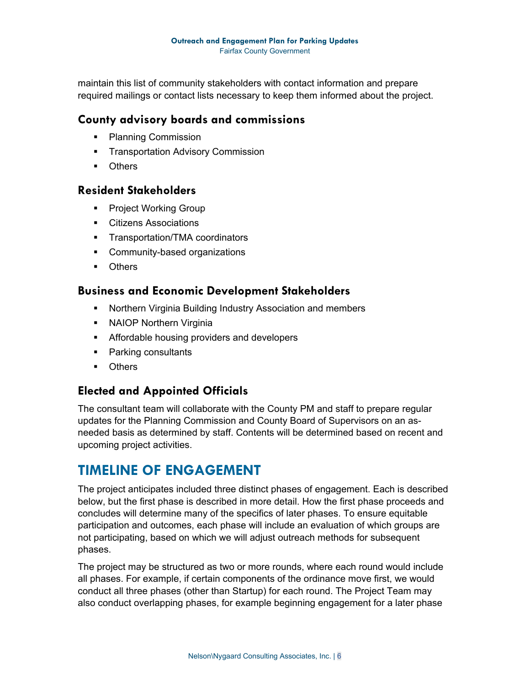maintain this list of community stakeholders with contact information and prepare required mailings or contact lists necessary to keep them informed about the project.

#### **County advisory boards and commissions**

- Planning Commission
- **Transportation Advisory Commission**
- **•** Others

#### **Resident Stakeholders**

- **Project Working Group**
- **Citizens Associations**
- **Transportation/TMA coordinators**
- **•** Community-based organizations
- **•** Others

#### **Business and Economic Development Stakeholders**

- Northern Virginia Building Industry Association and members
- **NAIOP Northern Virginia**
- **Affordable housing providers and developers**
- **Parking consultants**
- **•** Others

#### **Elected and Appointed Officials**

The consultant team will collaborate with the County PM and staff to prepare regular updates for the Planning Commission and County Board of Supervisors on an asneeded basis as determined by staff. Contents will be determined based on recent and upcoming project activities.

### **TIMELINE OF ENGAGEMENT**

The project anticipates included three distinct phases of engagement. Each is described below, but the first phase is described in more detail. How the first phase proceeds and concludes will determine many of the specifics of later phases. To ensure equitable participation and outcomes, each phase will include an evaluation of which groups are not participating, based on which we will adjust outreach methods for subsequent phases.

The project may be structured as two or more rounds, where each round would include all phases. For example, if certain components of the ordinance move first, we would conduct all three phases (other than Startup) for each round. The Project Team may also conduct overlapping phases, for example beginning engagement for a later phase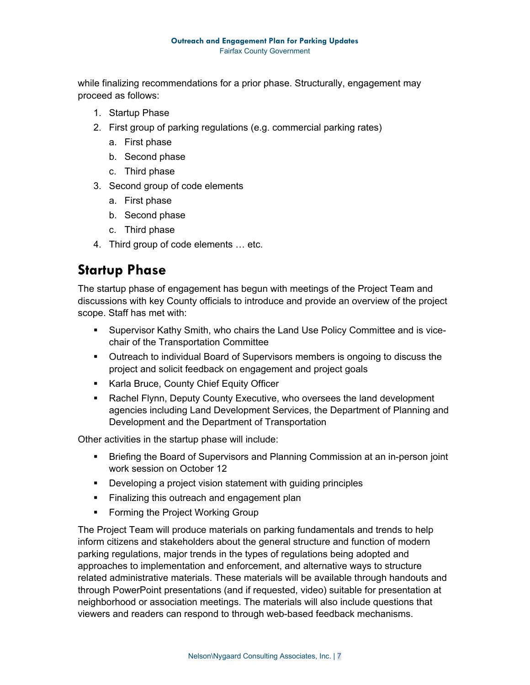while finalizing recommendations for a prior phase. Structurally, engagement may proceed as follows:

- 1. Startup Phase
- 2. First group of parking regulations (e.g. commercial parking rates)
	- a. First phase
	- b. Second phase
	- c. Third phase
- 3. Second group of code elements
	- a. First phase
	- b. Second phase
	- c. Third phase
- 4. Third group of code elements … etc.

### **Startup Phase**

The startup phase of engagement has begun with meetings of the Project Team and discussions with key County officials to introduce and provide an overview of the project scope. Staff has met with:

- Supervisor Kathy Smith, who chairs the Land Use Policy Committee and is vicechair of the Transportation Committee
- **Outreach to individual Board of Supervisors members is ongoing to discuss the** project and solicit feedback on engagement and project goals
- **Karla Bruce, County Chief Equity Officer**
- Rachel Flynn, Deputy County Executive, who oversees the land development agencies including Land Development Services, the Department of Planning and Development and the Department of Transportation

Other activities in the startup phase will include:

- **Briefing the Board of Supervisors and Planning Commission at an in-person joint** work session on October 12
- **•** Developing a project vision statement with guiding principles
- **Finalizing this outreach and engagement plan**
- **Forming the Project Working Group**

The Project Team will produce materials on parking fundamentals and trends to help inform citizens and stakeholders about the general structure and function of modern parking regulations, major trends in the types of regulations being adopted and approaches to implementation and enforcement, and alternative ways to structure related administrative materials. These materials will be available through handouts and through PowerPoint presentations (and if requested, video) suitable for presentation at neighborhood or association meetings. The materials will also include questions that viewers and readers can respond to through web-based feedback mechanisms.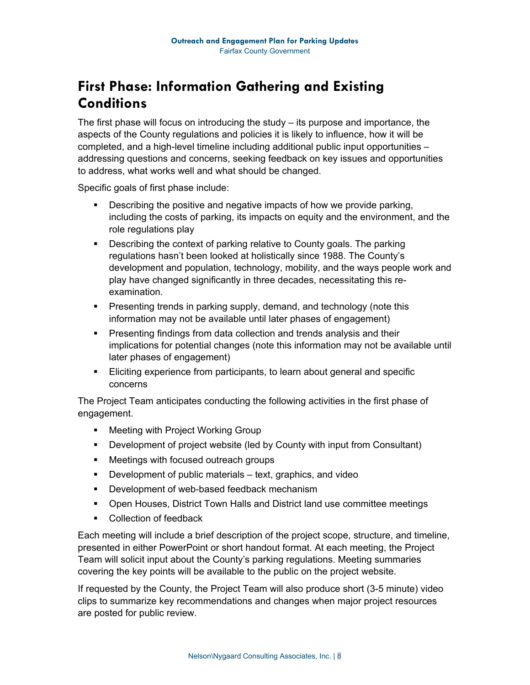# **First Phase: Information Gathering and Existing Conditions**

The first phase will focus on introducing the study – its purpose and importance, the aspects of the County regulations and policies it is likely to influence, how it will be completed, and a high-level timeline including additional public input opportunities – addressing questions and concerns, seeking feedback on key issues and opportunities to address, what works well and what should be changed.

Specific goals of first phase include:

- Describing the positive and negative impacts of how we provide parking, including the costs of parking, its impacts on equity and the environment, and the role regulations play
- **Describing the context of parking relative to County goals. The parking** regulations hasn't been looked at holistically since 1988. The County's development and population, technology, mobility, and the ways people work and play have changed significantly in three decades, necessitating this reexamination.
- **Presenting trends in parking supply, demand, and technology (note this** information may not be available until later phases of engagement)
- **Presenting findings from data collection and trends analysis and their** implications for potential changes (note this information may not be available until later phases of engagement)
- Eliciting experience from participants, to learn about general and specific concerns

The Project Team anticipates conducting the following activities in the first phase of engagement.

- **Meeting with Project Working Group**
- Development of project website (led by County with input from Consultant)
- Meetings with focused outreach groups
- **Development of public materials text, graphics, and video**
- **Development of web-based feedback mechanism**
- Open Houses, District Town Halls and District land use committee meetings
- Collection of feedback

Each meeting will include a brief description of the project scope, structure, and timeline, presented in either PowerPoint or short handout format. At each meeting, the Project Team will solicit input about the County's parking regulations. Meeting summaries covering the key points will be available to the public on the project website.

If requested by the County, the Project Team will also produce short (3-5 minute) video clips to summarize key recommendations and changes when major project resources are posted for public review.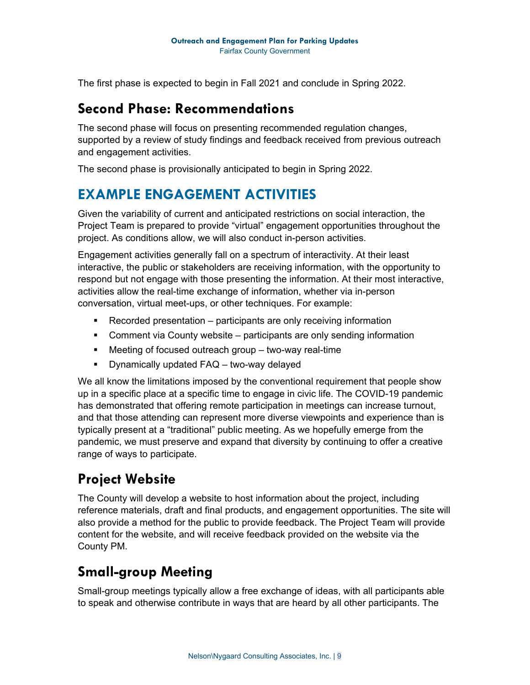The first phase is expected to begin in Fall 2021 and conclude in Spring 2022.

### **Second Phase: Recommendations**

The second phase will focus on presenting recommended regulation changes, supported by a review of study findings and feedback received from previous outreach and engagement activities.

The second phase is provisionally anticipated to begin in Spring 2022.

### **EXAMPLE ENGAGEMENT ACTIVITIES**

Given the variability of current and anticipated restrictions on social interaction, the Project Team is prepared to provide "virtual" engagement opportunities throughout the project. As conditions allow, we will also conduct in-person activities.

Engagement activities generally fall on a spectrum of interactivity. At their least interactive, the public or stakeholders are receiving information, with the opportunity to respond but not engage with those presenting the information. At their most interactive, activities allow the real-time exchange of information, whether via in-person conversation, virtual meet-ups, or other techniques. For example:

- Recorded presentation participants are only receiving information
- Comment via County website participants are only sending information
- Meeting of focused outreach group two-way real-time
- **•** Dynamically updated FAQ two-way delayed

We all know the limitations imposed by the conventional requirement that people show up in a specific place at a specific time to engage in civic life. The COVID-19 pandemic has demonstrated that offering remote participation in meetings can increase turnout, and that those attending can represent more diverse viewpoints and experience than is typically present at a "traditional" public meeting. As we hopefully emerge from the pandemic, we must preserve and expand that diversity by continuing to offer a creative range of ways to participate.

## **Project Website**

The County will develop a website to host information about the project, including reference materials, draft and final products, and engagement opportunities. The site will also provide a method for the public to provide feedback. The Project Team will provide content for the website, and will receive feedback provided on the website via the County PM.

## **Small-group Meeting**

Small-group meetings typically allow a free exchange of ideas, with all participants able to speak and otherwise contribute in ways that are heard by all other participants. The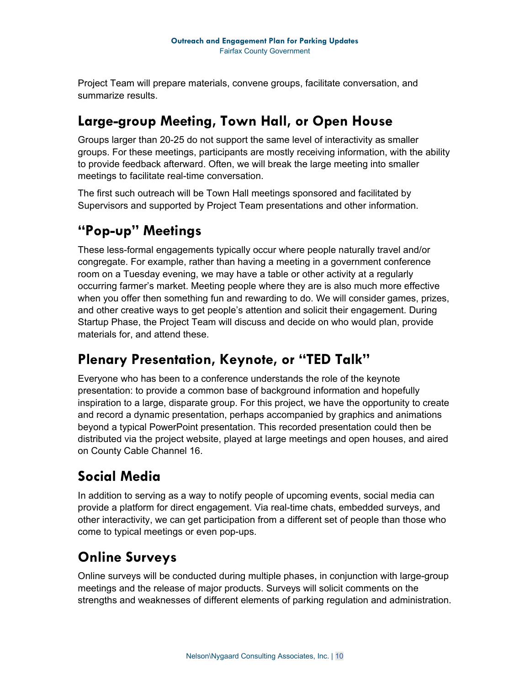Project Team will prepare materials, convene groups, facilitate conversation, and summarize results.

### **Large-group Meeting, Town Hall, or Open House**

Groups larger than 20-25 do not support the same level of interactivity as smaller groups. For these meetings, participants are mostly receiving information, with the ability to provide feedback afterward. Often, we will break the large meeting into smaller meetings to facilitate real-time conversation.

The first such outreach will be Town Hall meetings sponsored and facilitated by Supervisors and supported by Project Team presentations and other information.

## **"Pop-up" Meetings**

These less-formal engagements typically occur where people naturally travel and/or congregate. For example, rather than having a meeting in a government conference room on a Tuesday evening, we may have a table or other activity at a regularly occurring farmer's market. Meeting people where they are is also much more effective when you offer then something fun and rewarding to do. We will consider games, prizes, and other creative ways to get people's attention and solicit their engagement. During Startup Phase, the Project Team will discuss and decide on who would plan, provide materials for, and attend these.

### **Plenary Presentation, Keynote, or "TED Talk"**

Everyone who has been to a conference understands the role of the keynote presentation: to provide a common base of background information and hopefully inspiration to a large, disparate group. For this project, we have the opportunity to create and record a dynamic presentation, perhaps accompanied by graphics and animations beyond a typical PowerPoint presentation. This recorded presentation could then be distributed via the project website, played at large meetings and open houses, and aired on County Cable Channel 16.

# **Social Media**

In addition to serving as a way to notify people of upcoming events, social media can provide a platform for direct engagement. Via real-time chats, embedded surveys, and other interactivity, we can get participation from a different set of people than those who come to typical meetings or even pop-ups.

# **Online Surveys**

Online surveys will be conducted during multiple phases, in conjunction with large-group meetings and the release of major products. Surveys will solicit comments on the strengths and weaknesses of different elements of parking regulation and administration.